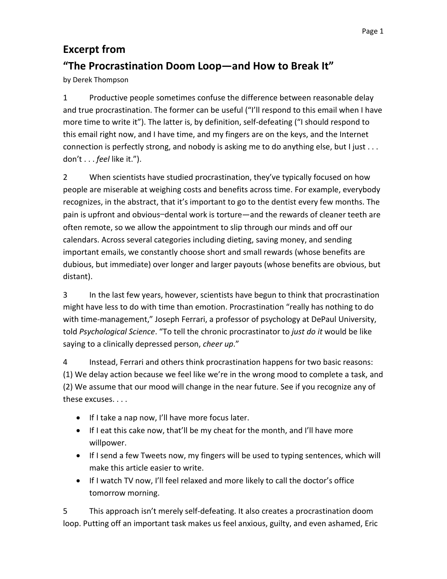## **Excerpt from "The Procrastination Doom Loop—and How to Break It"**

by Derek Thompson

1 Productive people sometimes confuse the difference between reasonable delay and true procrastination. The former can be useful ("I'll respond to this email when I have more time to write it"). The latter is, by definition, self-defeating ("I should respond to this email right now, and I have time, and my fingers are on the keys, and the Internet connection is perfectly strong, and nobody is asking me to do anything else, but I just . . . don't . . . *feel* like it.").

2 When scientists have studied procrastination, they've typically focused on how people are miserable at weighing costs and benefits across time. For example, everybody recognizes, in the abstract, that it's important to go to the dentist every few months. The pain is upfront and obvious—dental work is torture—and the rewards of cleaner teeth are often remote, so we allow the appointment to slip through our minds and off our calendars. Across several categories including dieting, saving money, and sending important emails, we constantly choose short and small rewards (whose benefits are dubious, but immediate) over longer and larger payouts (whose benefits are obvious, but distant).

3 In the last few years, however, scientists have begun to think that procrastination might have less to do with time than emotion. Procrastination "really has nothing to do with time-management," Joseph Ferrari, a professor of psychology at DePaul University, told *Psychological Science*. "To tell the chronic procrastinator to *just do it* would be like saying to a clinically depressed person, *cheer up*."

4 Instead, Ferrari and others think procrastination happens for two basic reasons: (1) We delay action because we feel like we're in the wrong mood to complete a task, and (2) We assume that our mood will change in the near future. See if you recognize any of these excuses. . . .

- If I take a nap now, I'll have more focus later.
- If I eat this cake now, that'll be my cheat for the month, and I'll have more willpower.
- If I send a few Tweets now, my fingers will be used to typing sentences, which will make this article easier to write.
- If I watch TV now, I'll feel relaxed and more likely to call the doctor's office tomorrow morning.

5 This approach isn't merely self-defeating. It also creates a procrastination doom loop. Putting off an important task makes us feel anxious, guilty, and even ashamed, Eric